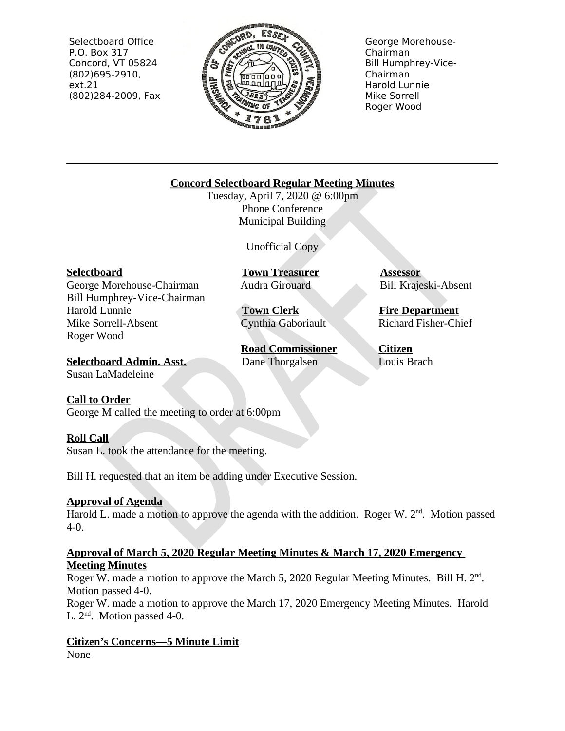Selectboard Office P.O. Box 317 Concord, VT 05824  $(802)695-2910,$  $ext.21$ (802)284-2009, Fax



George Morehouse-Chairman **Bill Humphrey-Vice-**Chairman Harold Lunnie Mike Sorrell Roger Wood

## **Concord Selectboard Regular Meeting Minutes**

Tuesday, April 7, 2020 @ 6:00pm Phone Conference **Municipal Building** 

Unofficial Copy

#### **Selectboard**

George Morehouse-Chairman Bill Humphrey-Vice-Chairman **Harold Lunnie** Mike Sorrell-Absent Roger Wood

**Town Treasurer** Audra Girouard

**Town Clerk** Cynthia Gaboriault

**Road Commissioner** Dane Thorgalsen

**Assessor Bill Krajeski-Absent** 

**Fire Department Richard Fisher-Chief** 

Citizen Louis Brach

**Selectboard Admin. Asst.** Susan LaMadeleine

# **Call to Order**

George M called the meeting to order at 6:00pm

#### **Roll Call**

Susan L, took the attendance for the meeting.

Bill H. requested that an item be adding under Executive Session.

#### **Approval of Agenda**

Harold L. made a motion to approve the agenda with the addition. Roger W.  $2^{nd}$ . Motion passed  $4 - 0.$ 

#### Approval of March 5, 2020 Regular Meeting Minutes & March 17, 2020 Emergency **Meeting Minutes**

Roger W. made a motion to approve the March 5, 2020 Regular Meeting Minutes. Bill H.  $2<sup>nd</sup>$ . Motion passed 4-0.

Roger W. made a motion to approve the March 17, 2020 Emergency Meeting Minutes. Harold L.  $2<sup>nd</sup>$ . Motion passed 4-0.

#### **Citizen's Concerns-5 Minute Limit** None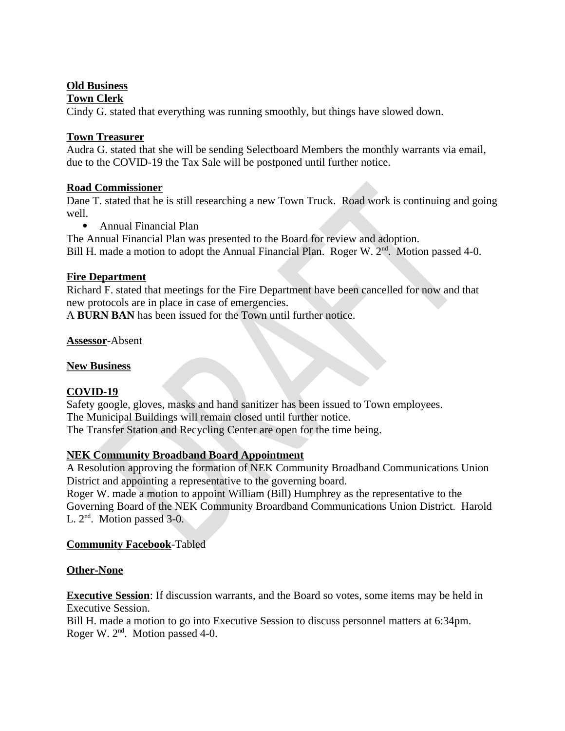#### **Old Business**

#### **Town Clerk**

Cindy G. stated that everything was running smoothly, but things have slowed down.

## **Town Treasurer**

Audra G. stated that she will be sending Selectboard Members the monthly warrants via email, due to the COVID-19 the Tax Sale will be postponed until further notice.

## **Road Commissioner**

Dane T. stated that he is still researching a new Town Truck. Road work is continuing and going well.

• Annual Financial Plan

The Annual Financial Plan was presented to the Board for review and adoption. Bill H. made a motion to adopt the Annual Financial Plan. Roger W. 2<sup>nd</sup>. Motion passed 4-0.

## **Fire Department**

Richard F. stated that meetings for the Fire Department have been cancelled for now and that new protocols are in place in case of emergencies.

A BURN BAN has been issued for the Town until further notice.

**Assessor-Absent** 

#### **New Business**

# COVID-19

Safety google, gloves, masks and hand sanitizer has been issued to Town employees. The Municipal Buildings will remain closed until further notice. The Transfer Station and Recycling Center are open for the time being.

# **NEK Community Broadband Board Appointment**

A Resolution approving the formation of NEK Community Broadband Communications Union District and appointing a representative to the governing board.

Roger W, made a motion to appoint William (Bill) Humphrey as the representative to the Governing Board of the NEK Community Broardband Communications Union District. Harold L.  $2<sup>nd</sup>$ . Motion passed 3-0.

# **Community Facebook-Tabled**

# **Other-None**

**Executive Session:** If discussion warrants, and the Board so votes, some items may be held in **Executive Session.** 

Bill H, made a motion to go into Executive Session to discuss personnel matters at 6:34pm. Roger W. 2<sup>nd</sup>. Motion passed 4-0.